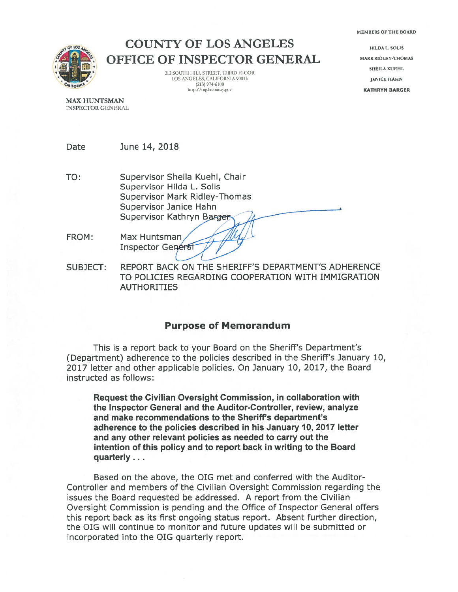MEMBERS OF THE BOARD



COUNTY OF LOS ANGELES OFFICE OF INSPECTOR GENERAL

> 312 SOUTH HILL STREET, THIRD FLOOR LOS ANGELES, CALIFORNIA 90013 JANICE HAHN (213) 974-6100 http://oig.lacounty.gov

**HILDAL** SOLIS **MARK RIDLEY-THOMAS** SHEILA KUEHL

MAX HUNTSMAN INSPECTOR GENERAL

Date June 14, 2018

- TO: Supervisor Sheila Kuehl, Chair Supervisor Hilda L. Solis Supervisor Mark Ridley-Thomas Supervisor Janice Hahn Supervisor Kathryn Barger
- FROM: Max Huntsman Inspector General
- SUBJECT: REPORT BACK ON THE SHERIFF'S DEPARTMENT'S ADHERENCE TO POLICIES REGARDING COOPERATION WITH IMMIGRATION AUTHORITIES

## Purpose of Memorandum

This is <sup>a</sup> repor<sup>t</sup> back to your Board on the Sheriff's Department's (Department) adherence to the policies described in the Sheriff's January 10, 2017 letter and other applicable policies. On January 10, 2017, the Board instructed as follows:

Request the Civilian Oversight Commission, in collaboration with the Inspector General and the Auditor-Controller, review, analyze and make recommendations to the Sheriff's department's adherence to the policies described in his January 10, 2017 letter and any other relevant policies as needed to carry out the intention of this policy and to repor<sup>t</sup> back in writing to the Board quarterly...

Based on the above, the OIG met and conferred with the Auditor-Controller and members of the Civilian Oversight Commission regarding the issues the Board requested be addressed. A repor<sup>t</sup> from the Civilian Oversight Commission is pending and the Office of Inspector General offers this repor<sup>t</sup> back as its first ongoing status report. Absent further direction, the OIG will continue to monitor and future updates will be submitted or incorporated into the OIG quarterly report.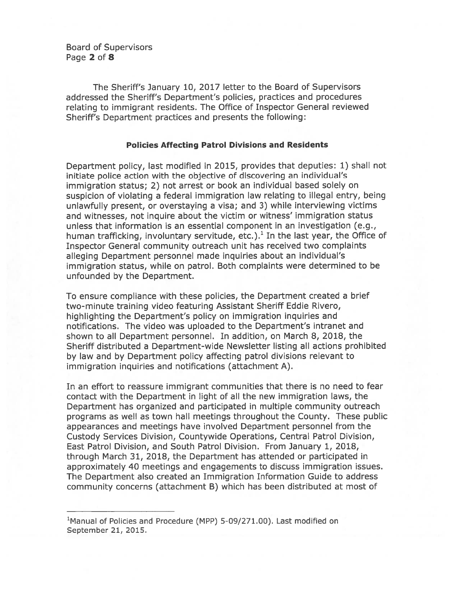Board of Supervisors Page 2 of 8

The Sheriff's January 10, 2017 letter to the Board of Supervisors addressed the Sheriff's Department's policies, practices and procedures relating to immigrant residents. The Office of Inspector General reviewed Sheriff's Department practices and presents the following:

#### Policies Affecting Patrol Divisions and Residents

Department policy, last modified in 2015, provides that deputies: 1) shall not initiate police action with the objective of discovering an individual's immigration status; 2) not arrest or book an individual based solely on suspicion of violating <sup>a</sup> federal immigration law relating to illegal entry, being unlawfully present, or overstaying <sup>a</sup> visa; and 3) while interviewing victims and witnesses, not inquire about the victim or witness' immigration status unless that information is an essential componen<sup>t</sup> in an investigation (e.g., human trafficking, involuntary servitude, etc.).<sup>1</sup> In the last year, the Office of Inspector General community outreach unit has received two complaints alleging Department personnel made inquiries about an individual's immigration status, while on patrol. Both complaints were determined to be unfounded by the Department.

To ensure compliance with these policies, the Department created <sup>a</sup> brief two-minute training video featuring Assistant Sheriff Eddie Rivero, highlighting the Department's policy on immigration inquiries and notifications. The video was uploaded to the Department's intranet and shown to all Department personnel. In addition, on March 8, 2018, the Sheriff distributed <sup>a</sup> Department-wide Newsletter listing all actions prohibited by law and by Department policy affecting patrol divisions relevant to immigration inquiries and notifications (attachment A).

In an effort to reassure immigrant communities that there is no need to fear contact with the Department in light of all the new immigration laws, the Department has organized and participated in multiple community outreach programs as well as town hall meetings throughout the County. These public appearances and meetings have involved Department personnel from the Custody Services Division, Countywide Operations, Central Patrol Division, East Patrol Division, and South Patrol Division. From January 1, 2018, through March 31, 2018, the Department has attended or participated in approximately 40 meetings and engagements to discuss immigration issues. The Department also created an Immigration Information Guide to address community concerns (attachment B) which has been distributed at most of

<sup>&#</sup>x27;Manual of Policies and Procedure (MPP) 5-09/271.00). Last modified on September 21, 2015.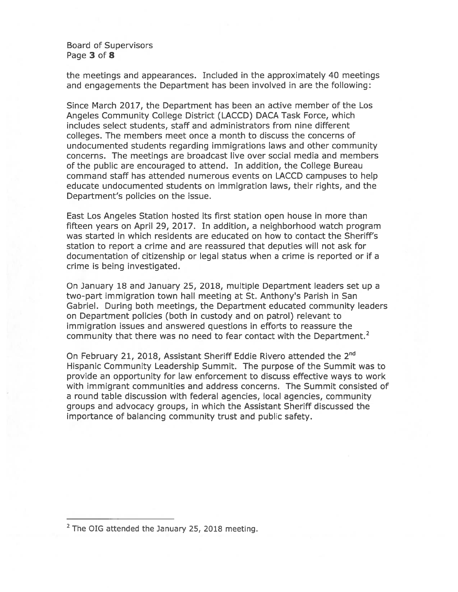Board of Supervisors Page 3 of 8

the meetings and appearances. Included in the approximately 40 meetings and engagements the Department has been involved in are the following:

Since March 2017, the Department has been an active member of the Los Angeles Community College District (LACCD) DACA Task Force, which includes select students, staff and administrators from nine different colleges. The members meet once <sup>a</sup> month to discuss the concerns of undocumented students regarding immigrations laws and other community concerns. The meetings are broadcast live over social media and members of the public are encouraged to attend. In addition, the College Bureau command staff has attended numerous events on LACCD campuses to help educate undocumented students on immigration laws, their rights, and the Department's policies on the issue.

East Los Angeles Station hosted its first station open house in more than fifteen years on April 29, 2017. In addition, <sup>a</sup> neighborhood watch program was started in which residents are educated on how to contact the Sheriff's station to repor<sup>t</sup> <sup>a</sup> crime and are reassured that deputies will not ask for documentation of citizenship or legal status when <sup>a</sup> crime is reported or if <sup>a</sup> crime is being investigated.

On January 18 and January 25, 2018, multiple Department leaders set up <sup>a</sup> two-part immigration town hall meeting at St. Anthony's Parish in San Gabriel. During both meetings, the Department educated community leaders on Department policies (both in custody and on patrol) relevant to immigration issues and answered questions in efforts to reassure the community that there was no need to fear contact with the Department.<sup>2</sup>

On February 21, 2018, Assistant Sheriff Eddie Rivero attended the 2<sup>nd</sup> Hispanic Community Leadership Summit. The purpose of the Summit was to provide an opportunity for law enforcement to discuss effective ways to work with immigrant communities and address concerns. The Summit consisted of <sup>a</sup> round table discussion with federal agencies, local agencies, community groups and advocacy groups, in which the Assistant Sheriff discussed the importance of balancing community trust and public safety.

<sup>&</sup>lt;sup>2</sup> The OIG attended the January 25, 2018 meeting.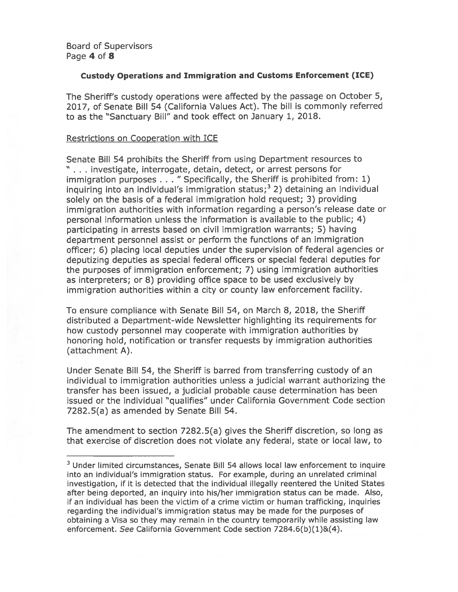#### Custody Operations and Immigration and Customs Enforcement (ICE)

The Sheriff's custody operations were affected by the passage on October 5, 2017, of Senate Bill 54 (California Values Act). The bill is commonly referred to as the "Sanctuary Bill" and took effect on January 1, 2018.

#### Restrictions on Cooperation with ICE

Senate Bill 54 prohibits the Sheriff from using Department resources to " . . . investigate, interrogate, detain, detect, or arrest persons for immigration purposes . . . " Specifically, the Sheriff is prohibited from: 1) inquiring into an individual's immigration status; $3$  2) detaining an individual solely on the basis of <sup>a</sup> federal immigration hold request; 3) providing immigration authorities with information regarding <sup>a</sup> person's release date or personal information unless the information is available to the public; 4) participating in arrests based on civil immigration warrants; 5) having department personnel assist or perform the functions of an immigration officer; 6) <sup>p</sup>lacing local deputies under the supervision of federal agencies or deputizing deputies as special federal officers or special federal deputies for the purposes of immigration enforcement; 7) using immigration authorities as interpreters; or 8) providing office space to be used exclusively by immigration authorities within <sup>a</sup> city or county law enforcement facility.

To ensure compliance with Senate Bill 54, on March 8, 2018, the Sheriff distributed <sup>a</sup> Department-wide Newsletter highlighting its requirements for how custody personnel may cooperate with immigration authorities by honoring hold, notification or transfer requests by immigration authorities (attachment A).

Under Senate Bill 54, the Sheriff is barred from transferring custody of an individual to immigration authorities unless <sup>a</sup> judicial warrant authorizing the transfer has been issued, <sup>a</sup> judicial probable cause determination has been issued or the individual "qualifies" under California Government Code section 7282.5(a) as amended by Senate Bill 54.

The amendment to section 7282.5(a) gives the Sheriff discretion, so long as that exercise of discretion does not violate any federal, state or local law, to

<sup>&</sup>lt;sup>3</sup> Under limited circumstances, Senate Bill 54 allows local law enforcement to inquire into an individual's immigration status. For example, during an unrelated criminal investigation, if it is detected that the individual illegally reentered the United States after being deported, an inquiry into his/her immigration status can be made. Also, if an individual has been the victim of <sup>a</sup> crime victim or human trafficking, inquiries regarding the individual's immigration status may be made for the purposes of obtaining <sup>a</sup> Visa so they may remain in the country temporarily while assisting law enforcement. See California Government Code section 7284.6(b)(1)&(4).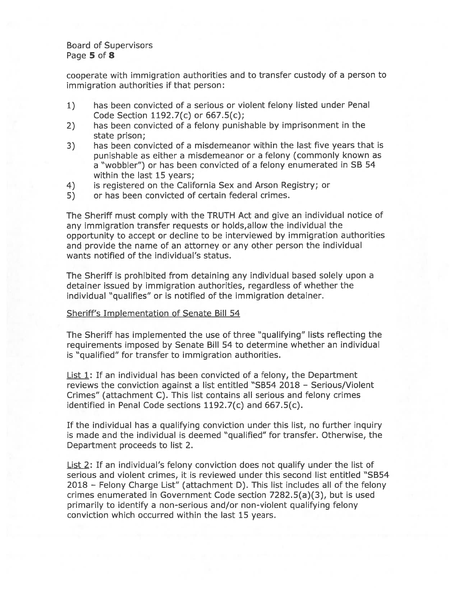#### Board of Supervisors Page 5 of 8

cooperate with immigration authorities and to transfer custody of <sup>a</sup> person to immigration authorities if that person:

- 1) has been convicted of <sup>a</sup> serious or violent felony listed under Penal Code Section 1192.7(c) or 667.5(c);
- 2) has been convicted of <sup>a</sup> felony punishable by imprisonment in the state prison;
- 3) has been convicted of <sup>a</sup> misdemeanor within the last five years that is punishable as either <sup>a</sup> misdemeanor or <sup>a</sup> felony (commonly known as <sup>a</sup> "wobbler") or has been convicted of <sup>a</sup> felony enumerated in SB 54 within the last 15 years;
- 4) is registered on the California Sex and Arson Registry; or
- 5) or has been convicted of certain federal crimes.

The Sheriff must comply with the TRUTH Act and give an individual notice of any immigration transfer requests or holds,allow the individual the opportunity to accep<sup>t</sup> or decline to be interviewed by immigration authorities and provide the name of an attorney or any other person the individual wants notified of the individual's status.

The Sheriff is prohibited from detaining any individual based solely upon <sup>a</sup> detainer issued by immigration authorities, regardless of whether the individual "qualifies" or is notified of the immigration detainer.

#### Sheriff's Implementation of Senate Bill 54

The Sheriff has implemented the use of three "qualifying" lists reflecting the requirements imposed by Senate Bill 54 to determine whether an individual is "qualified" for transfer to immigration authorities.

**List 1:** If an individual has been convicted of a felony, the Department reviews the conviction against <sup>a</sup> list entitled "SB54 2018 — Serious/Violent Crimes" (attachment C). This list contains all serious and felony crimes identified in Penal Code sections 1192.7(c) and 667.5(c).

If the individual has <sup>a</sup> qualifying conviction under this list, no further inquiry is made and the individual is deemed "qualified" for transfer. Otherwise, the Department proceeds to list 2.

List 2: If an individual's felony conviction does not qualify under the list of serious and violent crimes, it is reviewed under this second list entitled "SB54 2018 — Felony Charge List" (attachment D). This list includes all of the felony crimes enumerated in Government Code section 7282.5(a)(3), but is used primarily to identify <sup>a</sup> non-serious and/or non-violent qualifying felony conviction which occurred within the last 15 years.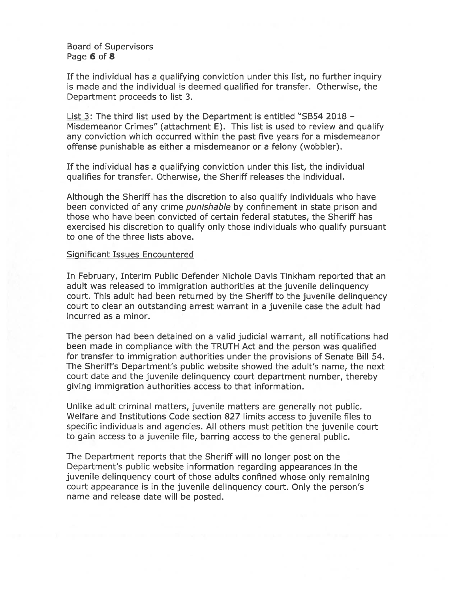#### Board of Supervisors Page 6 of 8

If the individual has <sup>a</sup> qualifying conviction under this list, no further inquiry is made and the individual is deemed qualified for transfer. Otherwise, the Department proceeds to list 3.

List 3: The third list used by the Department is entitled "SB54 2018 — Misdemeanor Crimes" (attachment E). This list is used to review and qualify any conviction which occurred within the pas<sup>t</sup> five years for <sup>a</sup> misdemeanor offense punishable as either <sup>a</sup> misdemeanor or <sup>a</sup> felony (wobbler).

If the individual has <sup>a</sup> qualifying conviction under this list, the individual qualifies for transfer. Otherwise, the Sheriff releases the individual.

Although the Sheriff has the discretion to also qualify individuals who have been convicted of any crime *punishable* by confinement in state prison and those who have been convicted of certain federal statutes, the Sheriff has exercised his discretion to qualify only those individuals who qualify pursuan<sup>t</sup> to one of the three lists above.

#### Significant Issues Encountered

In February, Interim Public Defender Nichole Davis Tinkham reported that an adult was released to immigration authorities at the juvenile delinquency court. This adult had been returned by the Sheriff to the juvenile delinquency court to clear an outstanding arrest warrant in <sup>a</sup> juvenile case the adult had incurred as <sup>a</sup> minor.

The person had been detained on <sup>a</sup> valid judicial warrant, all notifications had been made in compliance with the TRUTH Act and the person was qualified for transfer to immigration authorities under the provisions of Senate Bill 54. The Sheriff's Department's public website showed the adult's name, the next court date and the juvenile delinquency court department number, thereby giving immigration authorities access to that information.

Unlike adult criminal matters, juvenile matters are generally not public. Welfare and Institutions Code section 827 limits access to juvenile files to specific individuals and agencies. All others must petition the juvenile court to gain access to <sup>a</sup> juvenile file, barring access to the general public.

The Department reports that the Sheriff will no longer pos<sup>t</sup> on the Department's public website information regarding appearances in the juvenile delinquency court of those adults confined whose only remaining court appearance is in the juvenile delinquency court. Only the person's name and release date will be posted.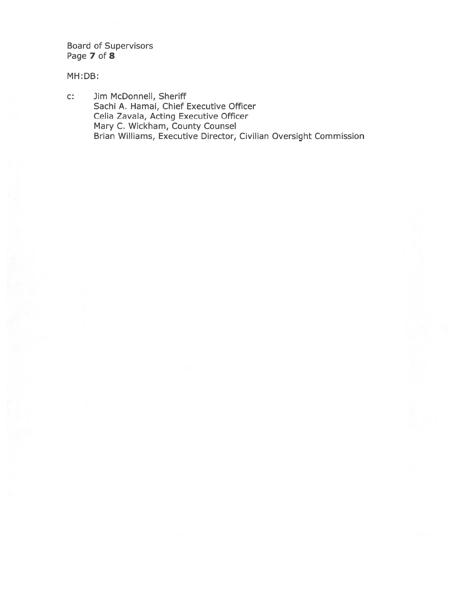Board of Supervisors Page 7 of 8

MH:DB:

C: Jim McDonnell, Sheriff Sachi A. Hamai, Chief Executive Officer Celia Zavala, Acting Executive Officer Mary C. Wickham, County Counsel Brian Williams, Executive Director, Civilian Oversight Commission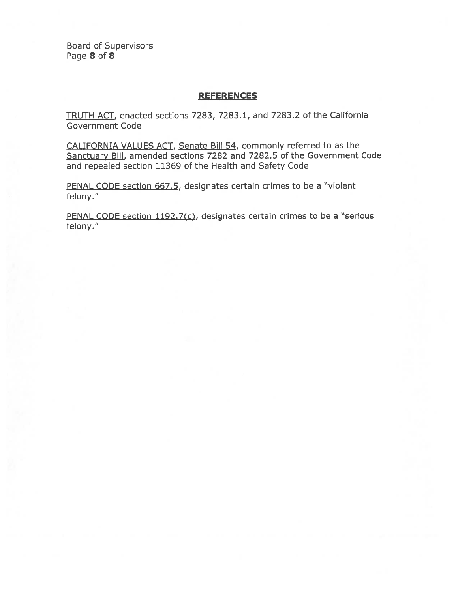Board of Supervisors Page 8 of 8

#### REFERENCES

TRUTH ACT, enacted sections 7283, 7283.1, and 7283.2 of the California Government Code

CALIFORNIA VALUES ACT, Senate Bill 54, commonly referred to as the Sanctuary Bill, amended sections 7282 and 7282.5 of the Government Code and repealed section 11369 of the Health and Safety Code

PENAL CODE section 667.5, designates certain crimes to be a "violent" felony."

PENAL CODE section 1192.7(c), designates certain crimes to be a "serious felony."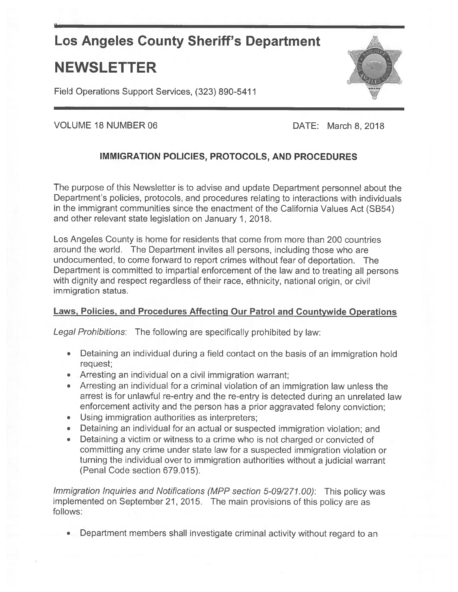# Los Angeles County Sheriff's Department

# NEWSLETTER

Field Operations Support Services, (323) 890-5411



VOLUME 18 NUMBER 06

DATE: March 8,2018

# IMMIGRATION POLICIES, PROTOCOLS, AND PROCEDURES

The purpose of this Newsletter is to advise and update Department personne<sup>l</sup> about the Department's policies, protocols, and procedures relating to interactions with individuals in the immigrant communities since the enactment of the California Values Act (SB54) and other relevant state legislation on January 1, 2018.

Los Angeles County is home for residents that come from more than 200 countries around the world. The Department invites all persons, including those who are undocumented, to come forward to repor<sup>t</sup> crimes without fear of deportation. The Department is commiffed to impartial enforcement of the law and to treating all persons with dignity and respect regardless of their race, ethnicity, national origin, or civil immigration status.

## Laws, Policies, and Procedures Affecting Our Patrol and Countywide Operations

Legal Prohibitions: The following are specifically prohibited by law:

- Detaining an individual during <sup>a</sup> field contact on the basis of an immigration hold request;
- Arresting an individual on <sup>a</sup> civil immigration warrant;
- • Arresting an individual for <sup>a</sup> criminal violation of an immigration law unless the arrest is for unlawful re-entry and the re-entry is detected during an unrelated law enforcement activity and the person has <sup>a</sup> prior aggravated felony conviction;
- Using immigration authorities as interpreters;
- Detaining an individual for an actual or suspected immigration violation; and
- • Detaining <sup>a</sup> victim or witness to <sup>a</sup> crime who is not charged or convicted of committing any crime under state law for <sup>a</sup> suspected immigration violation or turning the individual over to immigration authorities without <sup>a</sup> judicial warrant (Penal Code section 679.015).

Immigration Inquiries and Notifications (MPP section 5-09/277.00): This policy was implemented on September 21, 2015. The main provisions of this policy are as follows:

•Department members shall investigate criminal activity without regard to an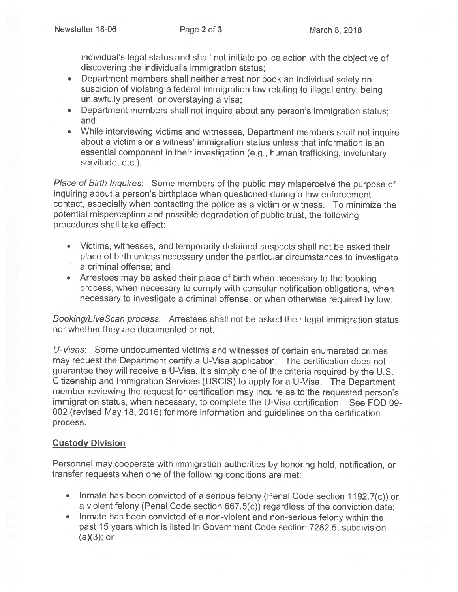individual's legal status and shall not initiate police action with the objective of discovering the individual's immigration status;

- Department members shall neither arrest nor book an individual solely on suspicion of violating <sup>a</sup> federal immigration law relating to illegal entry, being unlawfully present, or overstaying <sup>a</sup> visa;
- Department members shall not inquire about any person's immigration status; and
- While interviewing victims and witnesses, Department members shall not inquire about <sup>a</sup> victim's or <sup>a</sup> witness' immigration status unless that information is an essential component in their investigation (e.g., human trafficking, involuntary servitude, etc.).

Place of Birth Inquires: Some members of the public may misperceive the purpose of inquiring about <sup>a</sup> person's birthplace when questioned during <sup>a</sup> law enforcement contact, especially when contacting the police as <sup>a</sup> victim or witness. To minimize the potential misperception and possible degradation of public trust, the following procedures shall take effect:

- Victims, witnesses, and temporarily-detained suspects shall not be asked their <sup>p</sup>lace of birth unless necessary under the particular circumstances to investigate <sup>a</sup> criminal offense; and
- Arrestees may be asked their <sup>p</sup>lace of birth when necessary to the booking process, when necessary to comply with consular notification obligations, when necessary to investigate <sup>a</sup> criminal offense, or when otherwise required by law.

Booking/LiveScan process: Arrestees shall not be asked their legal immigration status nor whether they are documented or not.

U-Visas: Some undocumented victims and witnesses of certain enumerated crimes may request the Department certify <sup>a</sup> U-Visa application. The certification does not guarantee they will receive <sup>a</sup> U-Visa, it's simply one of the criteria required by the U.S. Citizenship and Immigration Services (USCIS) to apply for <sup>a</sup> U-Visa. The Department member reviewing the request for certification may inquire as to the requested person's immigration status, when necessary, to complete the U-Visa certification. See FOD 09- <sup>002</sup> (revised May 18, 2016) for more information and guidelines on the certification process.

## Custody Division

Personnel may cooperate with immigration authorities by honoring hold, notification, or transfer requests when one of the following conditions are met:

- Inmate has been convicted of <sup>a</sup> serious felony (Penal Code section 1192.7(c)) or <sup>a</sup> violent felony (Penal Code section 667.5(c)) regardless of the conviction date;
- In mate has been convicted of <sup>a</sup> non-violent and non-serious felony within the past 15 years which is listed in Government Code section 7282.5, subdivision  $(a)(3);$  or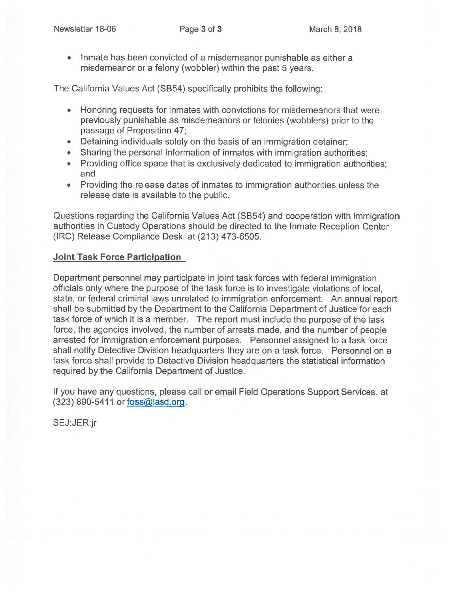Inmate has been convicted of <sup>a</sup> misdemeanor punishable as either <sup>a</sup> misdemeanor or <sup>a</sup> felony (wobbler) within the pas<sup>t</sup> 5 years.

The California Values Act (SB54) specifically prohibits the following:

- Honoring requests for inmates with convictions for misdemeanors that were previously punishable as misdemeanors or felonies (wobblers) prior to the passage of Proposition 47;
- •Detaining individuals solely on the basis of an immigration detainer;
- •Sharing the personal information of inmates with immigration authorities;
- • Providing office space that is exclusively dedicated to immigration authorities; and
- Providing the release dates of inmates to immigration authorities unless the release date is available to the public.

Questions regarding the California Values Act (SB54) and cooperation with immigration authorities in Custody Operations should be directed to the Inmate Reception Center (IRC) Release Compliance Desk, at (213) 473-6505.

#### Joint Task Force Participation

Department personnel may participate in joint task forces with federal immigration officials only where the purpose of the task force is to investigate violations of local, state, or federal criminal laws unrelated to immigration enforcement. An annual repor<sup>t</sup> shall be submitted by the Department to the California Department of Justice for each task force of which it is <sup>a</sup> member. The repor<sup>t</sup> must include the purpose of the task force, the agencies involved, the number of arrests made, and the number of people arrested for immigration enforcement purposes. Personnel assigned to <sup>a</sup> task force shall notify Detective Division headquarters they are on <sup>a</sup> task force. Personnel on <sup>a</sup> task force shall provide to Detective Division headquarters the statistical information required by the California Department of Justice.

If you have any questions, please call or email Field Operations Support Services, at  $(323)$  890-5411 or foss@lasd.org.

SEJ:JER:jr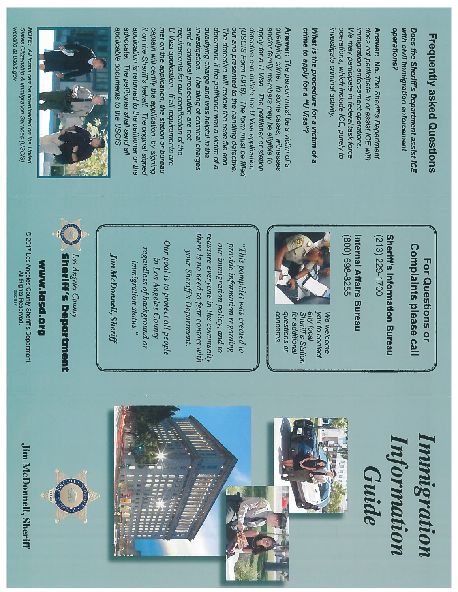# Frequently **Frequently asked Questions** Questions

operations? operations? with Does civil the immigration Sheriff's **Department** enforcement assist ICE

investigate operations, We immigration enforcement operations. immigration does Answer: may not participate participate No. crimina **which** enforcement The include Sheriff's activity. in in federal or operations. assist ICE, **Department** task purely ICE force with  $\overline{a}$ 

What is the procedure for a victim of a crime  $\overline{\mathbf{a}}$ apply for a  $\ddot{\bf c}$ Visa"?

Answer: The person musi be a victim of a **SuiAuenb** crime. In some cases, witnesses and/or family members may be eligible  $\overline{a}$ apply for  $\tilde{\varepsilon}$  $\overline{C}$ Visa. The petitioner or station detective can initiate the  $\overline{C}$ Visa application  $S(2S)$ Form 1-918). The form mus be filled out and presented  $\overline{a}$ the handling detective. The detective will review the case file and determine if the petitioner was a victim of a Suivup charge and was helpful in the investigation. The filing of criminal charges and a criminal prosecution are not requirements for our certification <u>o</u> requirements for our certification of the<br>U Visa application. If all requirements U Visa application. If all requirements are met on the application, the station or bureau captain will certify the application, by **signing**  $\mathbf{r}$ on the Sheriff's behalf The original signed application is returned  $\mathbf{z}$ the petitioner or the advocate. The petitioner shall send all applicable documents  $\overline{a}$ the USCIS.



NOTE: All forms can be downloaded on the United **States Citizenship** & Immigration Services (USCIS) website  $\mathbf{e}_1$ uscis.gov

> For Questions or Complaints please call

Sheriff's Information Bureau (213) 229-1700

Internal Affairs Bureau (800) 698-8255



Sheriff's Station you We welcome concerns concerns. questions for additional Sheriff's any additional welcome local  $\overline{a}$ contact or

""<br>"The p<br>amphlet was created to provide information regarding our immigration policy, and  $\tilde{\kappa}$ reassure everyone in the community there  $\ddot{ }$ : no need to fear contact with your Shertif's Department.

Our goal  $\mathbf{z}$ .  $\tilde{\kappa}$ protect all people in Los Angeles **Count**) regardless of background or

**Sheriff's Department** Los Angeles Sheriff's **Count** Department

WWW.l**asd.org**<br>© 2017 Los Angeles County Sheriff's Department

www.lasd.org

⊚ 2017 Los Angeles County Sheriff's Department.<br>All Rights Reserved.<br>os/2017

immigration status."

JimMcDonnell,

**Jim McDonnell, Sheriff** 

**Jim McDonnell, Sheriff** McDonnell geles comy snems Department.<br>All Rights Reserved.<br>All Rights Reserved.



hnmigratio11 Inforiflatto normation mmigration Guide